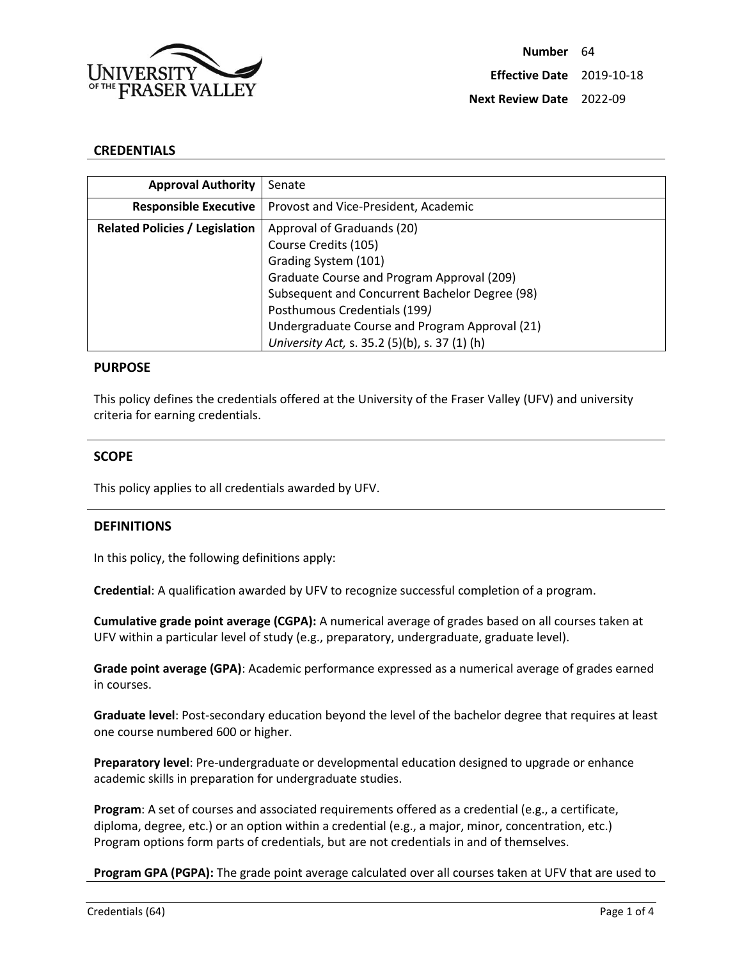

#### **CREDENTIALS**

| <b>Approval Authority</b>             | Senate                                         |
|---------------------------------------|------------------------------------------------|
| <b>Responsible Executive</b>          | Provost and Vice-President, Academic           |
| <b>Related Policies / Legislation</b> | Approval of Graduands (20)                     |
|                                       | Course Credits (105)                           |
|                                       | Grading System (101)                           |
|                                       | Graduate Course and Program Approval (209)     |
|                                       | Subsequent and Concurrent Bachelor Degree (98) |
|                                       | Posthumous Credentials (199)                   |
|                                       | Undergraduate Course and Program Approval (21) |
|                                       | University Act, s. 35.2 (5)(b), s. 37 (1) (h)  |

#### **PURPOSE**

This policy defines the credentials offered at the University of the Fraser Valley (UFV) and university criteria for earning credentials.

#### **SCOPE**

This policy applies to all credentials awarded by UFV.

## **DEFINITIONS**

In this policy, the following definitions apply:

**Credential**: A qualification awarded by UFV to recognize successful completion of a program.

**Cumulative grade point average (CGPA):** A numerical average of grades based on all courses taken at UFV within a particular level of study (e.g., preparatory, undergraduate, graduate level).

**Grade point average (GPA)**: Academic performance expressed as a numerical average of grades earned in courses.

**Graduate level**: Post-secondary education beyond the level of the bachelor degree that requires at least one course numbered 600 or higher.

**Preparatory level**: Pre-undergraduate or developmental education designed to upgrade or enhance academic skills in preparation for undergraduate studies.

**Program**: A set of courses and associated requirements offered as a credential (e.g., a certificate, diploma, degree, etc.) or an option within a credential (e.g., a major, minor, concentration, etc.) Program options form parts of credentials, but are not credentials in and of themselves.

**Program GPA (PGPA):** The grade point average calculated over all courses taken at UFV that are used to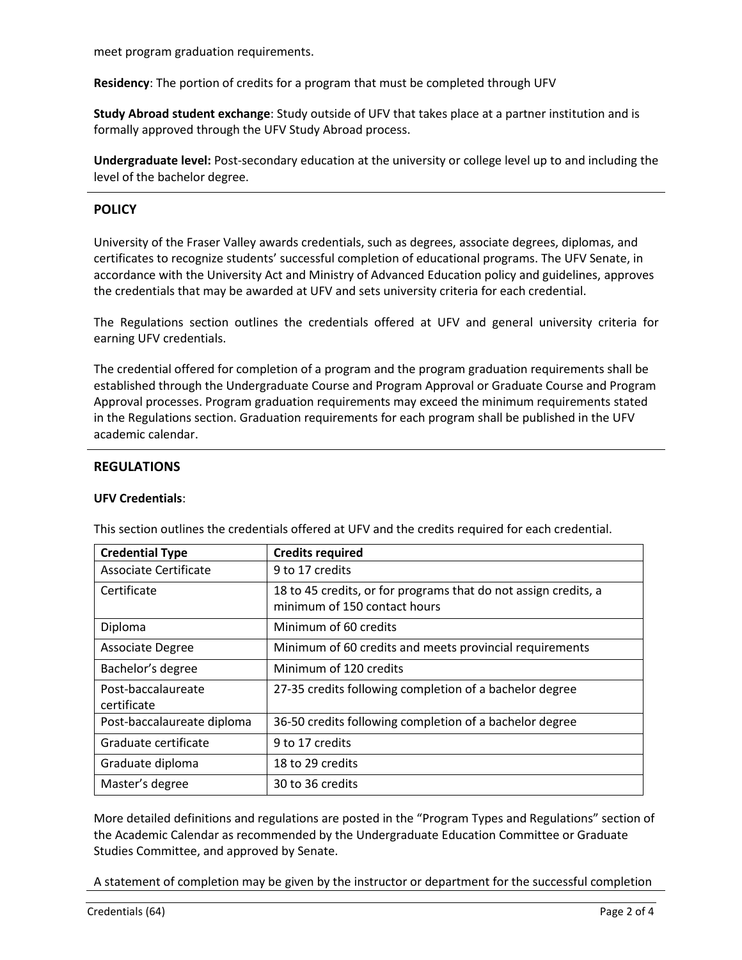meet program graduation requirements.

**Residency**: The portion of credits for a program that must be completed through UFV

**Study Abroad student exchange**: Study outside of UFV that takes place at a partner institution and is formally approved through the UFV Study Abroad process.

**Undergraduate level:** Post-secondary education at the university or college level up to and including the level of the bachelor degree.

# **POLICY**

University of the Fraser Valley awards credentials, such as degrees, associate degrees, diplomas, and certificates to recognize students' successful completion of educational programs. The UFV Senate, in accordance with the University Act and Ministry of Advanced Education policy and guidelines, approves the credentials that may be awarded at UFV and sets university criteria for each credential.

The Regulations section outlines the credentials offered at UFV and general university criteria for earning UFV credentials.

The credential offered for completion of a program and the program graduation requirements shall be established through the Undergraduate Course and Program Approval or Graduate Course and Program Approval processes. Program graduation requirements may exceed the minimum requirements stated in the Regulations section. Graduation requirements for each program shall be published in the UFV academic calendar.

# **REGULATIONS**

#### **UFV Credentials**:

| <b>Credential Type</b>            | <b>Credits required</b>                                                                         |
|-----------------------------------|-------------------------------------------------------------------------------------------------|
| Associate Certificate             | 9 to 17 credits                                                                                 |
| Certificate                       | 18 to 45 credits, or for programs that do not assign credits, a<br>minimum of 150 contact hours |
| Diploma                           | Minimum of 60 credits                                                                           |
| <b>Associate Degree</b>           | Minimum of 60 credits and meets provincial requirements                                         |
| Bachelor's degree                 | Minimum of 120 credits                                                                          |
| Post-baccalaureate<br>certificate | 27-35 credits following completion of a bachelor degree                                         |
| Post-baccalaureate diploma        | 36-50 credits following completion of a bachelor degree                                         |
| Graduate certificate              | 9 to 17 credits                                                                                 |
| Graduate diploma                  | 18 to 29 credits                                                                                |
| Master's degree                   | 30 to 36 credits                                                                                |

This section outlines the credentials offered at UFV and the credits required for each credential.

More detailed definitions and regulations are posted in the "Program Types and Regulations" section of the Academic Calendar as recommended by the Undergraduate Education Committee or Graduate Studies Committee, and approved by Senate.

A statement of completion may be given by the instructor or department for the successful completion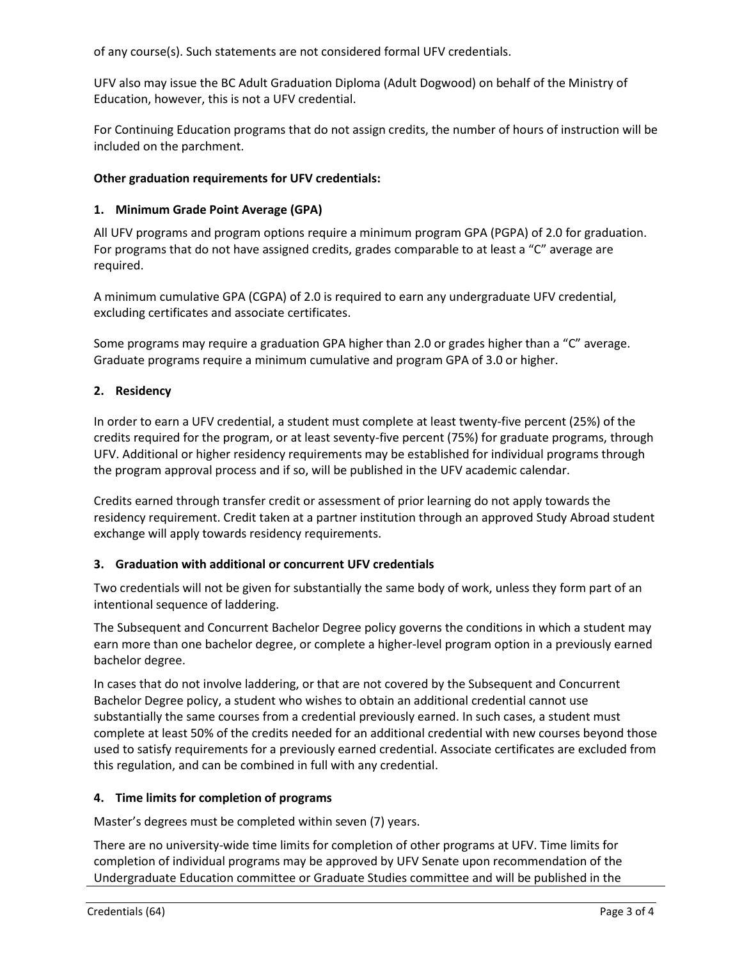of any course(s). Such statements are not considered formal UFV credentials.

UFV also may issue the BC Adult Graduation Diploma (Adult Dogwood) on behalf of the Ministry of Education, however, this is not a UFV credential.

For Continuing Education programs that do not assign credits, the number of hours of instruction will be included on the parchment.

## **Other graduation requirements for UFV credentials:**

## **1. Minimum Grade Point Average (GPA)**

All UFV programs and program options require a minimum program GPA (PGPA) of 2.0 for graduation. For programs that do not have assigned credits, grades comparable to at least a "C" average are required.

A minimum cumulative GPA (CGPA) of 2.0 is required to earn any undergraduate UFV credential, excluding certificates and associate certificates.

Some programs may require a graduation GPA higher than 2.0 or grades higher than a "C" average. Graduate programs require a minimum cumulative and program GPA of 3.0 or higher.

# **2. Residency**

In order to earn a UFV credential, a student must complete at least twenty-five percent (25%) of the credits required for the program, or at least seventy-five percent (75%) for graduate programs, through UFV. Additional or higher residency requirements may be established for individual programs through the program approval process and if so, will be published in the UFV academic calendar.

Credits earned through transfer credit or assessment of prior learning do not apply towards the residency requirement. Credit taken at a partner institution through an approved Study Abroad student exchange will apply towards residency requirements.

## **3. Graduation with additional or concurrent UFV credentials**

Two credentials will not be given for substantially the same body of work, unless they form part of an intentional sequence of laddering.

The Subsequent and Concurrent Bachelor Degree policy governs the conditions in which a student may earn more than one bachelor degree, or complete a higher-level program option in a previously earned bachelor degree.

In cases that do not involve laddering, or that are not covered by the Subsequent and Concurrent Bachelor Degree policy, a student who wishes to obtain an additional credential cannot use substantially the same courses from a credential previously earned. In such cases, a student must complete at least 50% of the credits needed for an additional credential with new courses beyond those used to satisfy requirements for a previously earned credential. Associate certificates are excluded from this regulation, and can be combined in full with any credential.

## **4. Time limits for completion of programs**

Master's degrees must be completed within seven (7) years.

There are no university-wide time limits for completion of other programs at UFV. Time limits for completion of individual programs may be approved by UFV Senate upon recommendation of the Undergraduate Education committee or Graduate Studies committee and will be published in the